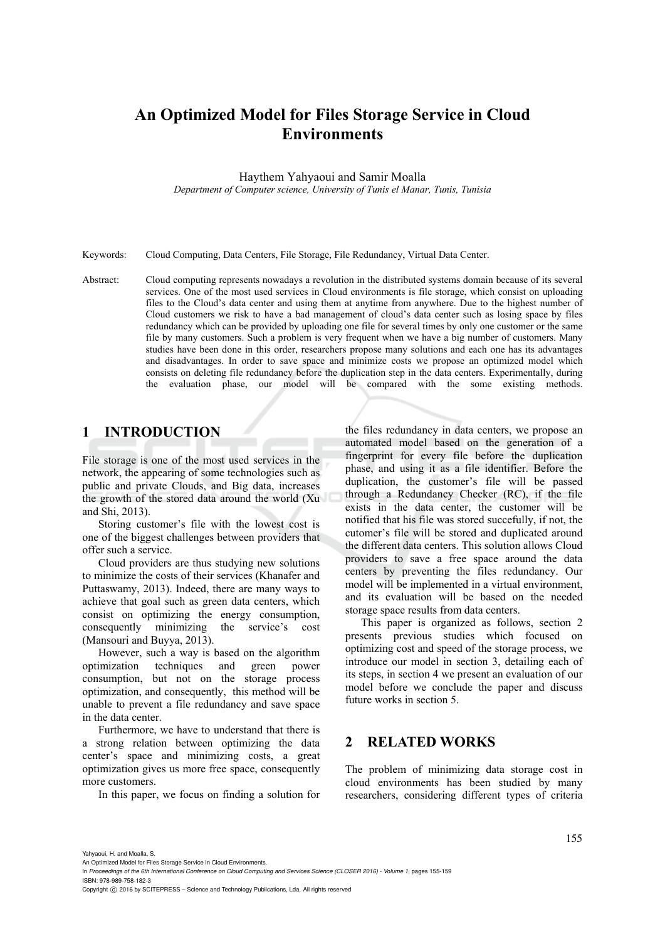# **An Optimized Model for Files Storage Service in Cloud Environments**

Haythem Yahyaoui and Samir Moalla

*Department of Computer science, University of Tunis el Manar, Tunis, Tunisia* 

Keywords: Cloud Computing, Data Centers, File Storage, File Redundancy, Virtual Data Center.

Abstract: Cloud computing represents nowadays a revolution in the distributed systems domain because of its several services. One of the most used services in Cloud environments is file storage, which consist on uploading files to the Cloud's data center and using them at anytime from anywhere. Due to the highest number of Cloud customers we risk to have a bad management of cloud's data center such as losing space by files redundancy which can be provided by uploading one file for several times by only one customer or the same file by many customers. Such a problem is very frequent when we have a big number of customers. Many studies have been done in this order, researchers propose many solutions and each one has its advantages and disadvantages. In order to save space and minimize costs we propose an optimized model which consists on deleting file redundancy before the duplication step in the data centers. Experimentally, during the evaluation phase, our model will be compared with the some existing methods.

# **1 INTRODUCTION**

File storage is one of the most used services in the network, the appearing of some technologies such as public and private Clouds, and Big data, increases the growth of the stored data around the world (Xu and Shi, 2013).

Storing customer's file with the lowest cost is one of the biggest challenges between providers that offer such a service.

Cloud providers are thus studying new solutions to minimize the costs of their services (Khanafer and Puttaswamy, 2013). Indeed, there are many ways to achieve that goal such as green data centers, which consist on optimizing the energy consumption, consequently minimizing the service's cost (Mansouri and Buyya, 2013).

However, such a way is based on the algorithm optimization techniques and green power consumption, but not on the storage process optimization, and consequently, this method will be unable to prevent a file redundancy and save space in the data center.

Furthermore, we have to understand that there is a strong relation between optimizing the data center's space and minimizing costs, a great optimization gives us more free space, consequently more customers.

In this paper, we focus on finding a solution for

the files redundancy in data centers, we propose an automated model based on the generation of a fingerprint for every file before the duplication phase, and using it as a file identifier. Before the duplication, the customer's file will be passed through a Redundancy Checker (RC), if the file exists in the data center, the customer will be notified that his file was stored succefully, if not, the cutomer's file will be stored and duplicated around the different data centers. This solution allows Cloud providers to save a free space around the data centers by preventing the files redundancy. Our model will be implemented in a virtual environment, and its evaluation will be based on the needed storage space results from data centers.

This paper is organized as follows, section 2 presents previous studies which focused on optimizing cost and speed of the storage process, we introduce our model in section 3, detailing each of its steps, in section 4 we present an evaluation of our model before we conclude the paper and discuss future works in section 5.

### **2 RELATED WORKS**

The problem of minimizing data storage cost in cloud environments has been studied by many researchers, considering different types of criteria

Yahyaoui, H. and Moalla, S.

An Optimized Model for Files Storage Service in Cloud Environments.

In *Proceedings of the 6th International Conference on Cloud Computing and Services Science (CLOSER 2016) - Volume 1*, pages 155-159 ISBN: 978-989-758-182-3

Copyright (C) 2016 by SCITEPRESS - Science and Technology Publications, Lda. All rights reserved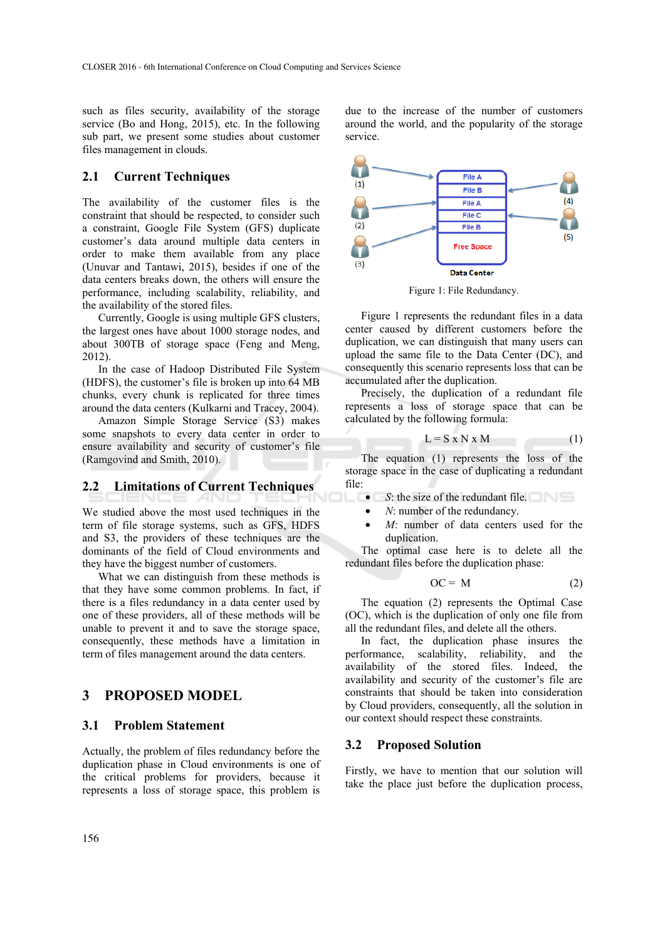such as files security, availability of the storage service (Bo and Hong, 2015), etc. In the following sub part, we present some studies about customer files management in clouds.

### **2.1 Current Techniques**

The availability of the customer files is the constraint that should be respected, to consider such a constraint, Google File System (GFS) duplicate customer's data around multiple data centers in order to make them available from any place (Unuvar and Tantawi, 2015), besides if one of the data centers breaks down, the others will ensure the performance, including scalability, reliability, and the availability of the stored files.

Currently, Google is using multiple GFS clusters, the largest ones have about 1000 storage nodes, and about 300TB of storage space (Feng and Meng, 2012).

In the case of Hadoop Distributed File System (HDFS), the customer's file is broken up into 64 MB chunks, every chunk is replicated for three times around the data centers (Kulkarni and Tracey, 2004).

Amazon Simple Storage Service (S3) makes some snapshots to every data center in order to ensure availability and security of customer's file (Ramgovind and Smith, 2010).

### **2.2 Limitations of Current Techniques**

We studied above the most used techniques in the term of file storage systems, such as GFS, HDFS and S3, the providers of these techniques are the dominants of the field of Cloud environments and they have the biggest number of customers.

What we can distinguish from these methods is that they have some common problems. In fact, if there is a files redundancy in a data center used by one of these providers, all of these methods will be unable to prevent it and to save the storage space, consequently, these methods have a limitation in term of files management around the data centers.

### **3 PROPOSED MODEL**

#### **3.1 Problem Statement**

Actually, the problem of files redundancy before the duplication phase in Cloud environments is one of the critical problems for providers, because it represents a loss of storage space, this problem is

due to the increase of the number of customers around the world, and the popularity of the storage service.



Figure 1: File Redundancy.

Figure 1 represents the redundant files in a data center caused by different customers before the duplication, we can distinguish that many users can upload the same file to the Data Center (DC), and consequently this scenario represents loss that can be accumulated after the duplication.

Precisely, the duplication of a redundant file represents a loss of storage space that can be calculated by the following formula:

$$
L = S \times N \times M \tag{1}
$$

The equation (1) represents the loss of the storage space in the case of duplicating a redundant file:

- *S*: the size of the redundant file.
	- *N*: number of the redundancy.
- M: number of data centers used for the duplication.

The optimal case here is to delete all the redundant files before the duplication phase:

$$
OC = M \tag{2}
$$

The equation (2) represents the Optimal Case (OC), which is the duplication of only one file from all the redundant files, and delete all the others.

In fact, the duplication phase insures the performance, scalability, reliability, and the availability of the stored files. Indeed, the availability and security of the customer's file are constraints that should be taken into consideration by Cloud providers, consequently, all the solution in our context should respect these constraints.

#### **3.2 Proposed Solution**

Firstly, we have to mention that our solution will take the place just before the duplication process,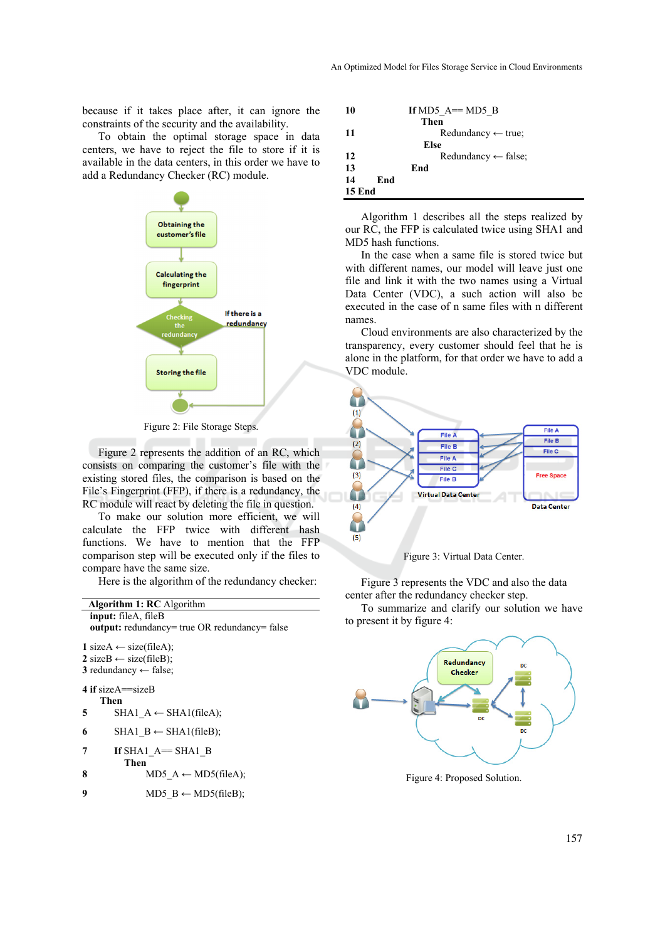because if it takes place after, it can ignore the constraints of the security and the availability.

To obtain the optimal storage space in data centers, we have to reject the file to store if it is available in the data centers, in this order we have to add a Redundancy Checker (RC) module.



Figure 2: File Storage Steps.

Figure 2 represents the addition of an RC, which consists on comparing the customer's file with the existing stored files, the comparison is based on the File's Fingerprint (FFP), if there is a redundancy, the RC module will react by deleting the file in question.

To make our solution more efficient, we will calculate the FFP twice with different hash functions. We have to mention that the FFP comparison step will be executed only if the files to compare have the same size.

Here is the algorithm of the redundancy checker:

| <b>Algorithm 1: RC</b> Algorithm                                                                                                 |  |  |  |  |  |  |
|----------------------------------------------------------------------------------------------------------------------------------|--|--|--|--|--|--|
| input: fileA, fileB                                                                                                              |  |  |  |  |  |  |
| <b>output:</b> redundancy= true OR redundancy= false                                                                             |  |  |  |  |  |  |
| 1 sizeA $\leftarrow$ size(fileA);<br>$2 \text{ sizeB} \leftarrow \text{size}(\text{fileB});$<br>3 redundancy $\leftarrow$ false; |  |  |  |  |  |  |
| 4 if size $A = sizeB$                                                                                                            |  |  |  |  |  |  |
| Then                                                                                                                             |  |  |  |  |  |  |
| SHA1 $A \leftarrow$ SHA1(fileA);<br>5                                                                                            |  |  |  |  |  |  |
| 6<br>SHA1 B ← SHA1(fileB);                                                                                                       |  |  |  |  |  |  |
| 7<br>If $SHA1$ $A==$ $SHA1$ $B$                                                                                                  |  |  |  |  |  |  |
| Then                                                                                                                             |  |  |  |  |  |  |
| 8<br>MD5 $A \leftarrow MD5$ (fileA);                                                                                             |  |  |  |  |  |  |
| MD5 $B \leftarrow MD5$ (fileB);<br>9                                                                                             |  |  |  |  |  |  |
|                                                                                                                                  |  |  |  |  |  |  |

| 10            | If MD5 $A == MD5$ B            |
|---------------|--------------------------------|
|               | Then                           |
| 11            | Redundancy $\leftarrow$ true;  |
|               | Else                           |
| 12            | Redundancy $\leftarrow$ false; |
| 13            | End                            |
| 14            | End                            |
| <b>15 End</b> |                                |

Algorithm 1 describes all the steps realized by our RC, the FFP is calculated twice using SHA1 and MD5 hash functions.

In the case when a same file is stored twice but with different names, our model will leave just one file and link it with the two names using a Virtual Data Center (VDC), a such action will also be executed in the case of n same files with n different names.

Cloud environments are also characterized by the transparency, every customer should feel that he is alone in the platform, for that order we have to add a VDC module.



Figure 3: Virtual Data Center.

Figure 3 represents the VDC and also the data center after the redundancy checker step.

To summarize and clarify our solution we have to present it by figure 4:



Figure 4: Proposed Solution.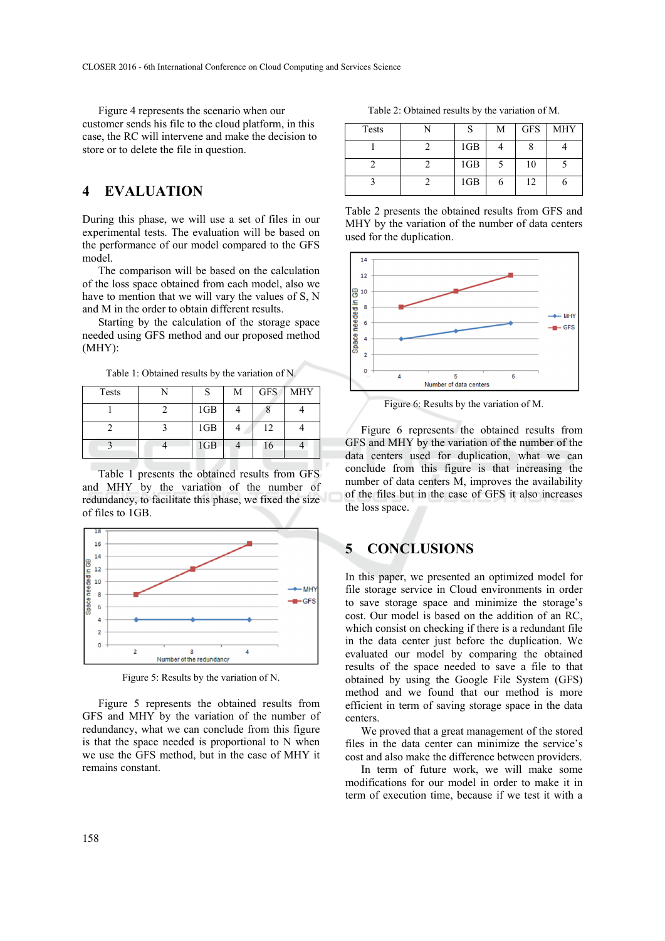Figure 4 represents the scenario when our customer sends his file to the cloud platform, in this case, the RC will intervene and make the decision to store or to delete the file in question.

# **4 EVALUATION**

During this phase, we will use a set of files in our experimental tests. The evaluation will be based on the performance of our model compared to the GFS model.

The comparison will be based on the calculation of the loss space obtained from each model, also we have to mention that we will vary the values of S, N and M in the order to obtain different results.

Starting by the calculation of the storage space needed using GFS method and our proposed method (MHY):

Table 1: Obtained results by the variation of N.

| Tests |                 | М | <b>GFS</b> | <b>MHY</b> |
|-------|-----------------|---|------------|------------|
|       | 1GB             |   |            |            |
|       | 1GB             |   | 12         |            |
|       | 1 <sub>GB</sub> |   | 16         |            |

Table 1 presents the obtained results from GFS and MHY by the variation of the number of redundancy, to facilitate this phase, we fixed the size of files to 1GB.



Figure 5: Results by the variation of N.

Figure 5 represents the obtained results from GFS and MHY by the variation of the number of redundancy, what we can conclude from this figure is that the space needed is proportional to N when we use the GFS method, but in the case of MHY it remains constant.

Table 2: Obtained results by the variation of M.

| Tests |     | M | <b>GFS</b> | <b>MHY</b> |
|-------|-----|---|------------|------------|
|       | 1GB |   |            |            |
|       | 1GB |   | 10         |            |
|       | 1GB |   | 12         |            |

Table 2 presents the obtained results from GFS and MHY by the variation of the number of data centers used for the duplication.



Figure 6: Results by the variation of M.

Figure 6 represents the obtained results from GFS and MHY by the variation of the number of the data centers used for duplication, what we can conclude from this figure is that increasing the number of data centers M, improves the availability of the files but in the case of GFS it also increases the loss space.

# **5 CONCLUSIONS**

In this paper, we presented an optimized model for file storage service in Cloud environments in order to save storage space and minimize the storage's cost. Our model is based on the addition of an RC, which consist on checking if there is a redundant file in the data center just before the duplication. We evaluated our model by comparing the obtained results of the space needed to save a file to that obtained by using the Google File System (GFS) method and we found that our method is more efficient in term of saving storage space in the data centers.

We proved that a great management of the stored files in the data center can minimize the service's cost and also make the difference between providers.

In term of future work, we will make some modifications for our model in order to make it in term of execution time, because if we test it with a